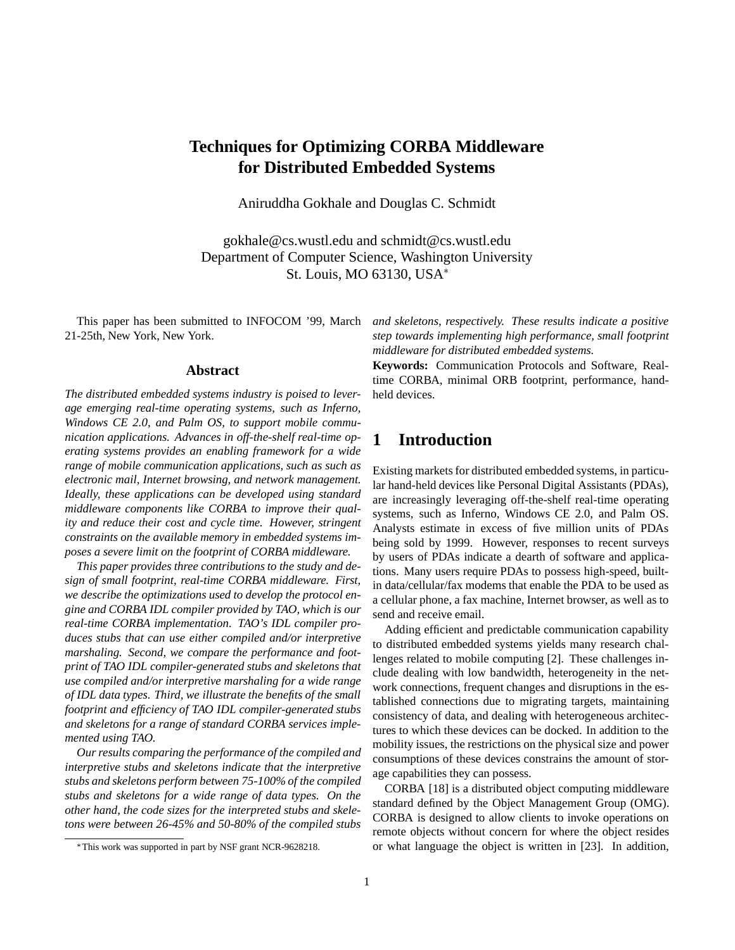# **Techniques for Optimizing CORBA Middleware for Distributed Embedded Systems**

Aniruddha Gokhale and Douglas C. Schmidt

gokhale@cs.wustl.edu and schmidt@cs.wustl.edu Department of Computer Science, Washington University St. Louis, MO 63130, USA

This paper has been submitted to INFOCOM '99, March 21-25th, New York, New York.

#### **Abstract**

*The distributed embedded systems industry is poised to leverage emerging real-time operating systems, such as Inferno, Windows CE 2.0, and Palm OS, to support mobile communication applications. Advances in off-the-shelf real-time operating systems provides an enabling framework for a wide range of mobile communication applications, such as such as electronic mail, Internet browsing, and network management. Ideally, these applications can be developed using standard middleware components like CORBA to improve their quality and reduce their cost and cycle time. However, stringent constraints on the available memory in embedded systems imposes a severe limit on the footprint of CORBA middleware.*

*This paper provides three contributions to the study and design of small footprint, real-time CORBA middleware. First, we describe the optimizations used to develop the protocol engine and CORBA IDL compiler provided by TAO, which is our real-time CORBA implementation. TAO's IDL compiler produces stubs that can use either compiled and/or interpretive marshaling. Second, we compare the performance and footprint of TAO IDL compiler-generated stubs and skeletons that use compiled and/or interpretive marshaling for a wide range of IDL data types. Third, we illustrate the benefits of the small footprint and efficiency of TAO IDL compiler-generated stubs and skeletons for a range of standard CORBA services implemented using TAO.*

*Our results comparing the performance of the compiled and interpretive stubs and skeletons indicate that the interpretive stubs and skeletons perform between 75-100% of the compiled stubs and skeletons for a wide range of data types. On the other hand, the code sizes for the interpreted stubs and skeletons were between 26-45% and 50-80% of the compiled stubs*

*and skeletons, respectively. These results indicate a positive step towards implementing high performance, small footprint middleware for distributed embedded systems.*

**Keywords:** Communication Protocols and Software, Realtime CORBA, minimal ORB footprint, performance, handheld devices.

## **1 Introduction**

Existing markets for distributed embedded systems, in particular hand-held devices like Personal Digital Assistants (PDAs), are increasingly leveraging off-the-shelf real-time operating systems, such as Inferno, Windows CE 2.0, and Palm OS. Analysts estimate in excess of five million units of PDAs being sold by 1999. However, responses to recent surveys by users of PDAs indicate a dearth of software and applications. Many users require PDAs to possess high-speed, builtin data/cellular/fax modems that enable the PDA to be used as a cellular phone, a fax machine, Internet browser, as well as to send and receive email.

Adding efficient and predictable communication capability to distributed embedded systems yields many research challenges related to mobile computing [2]. These challenges include dealing with low bandwidth, heterogeneity in the network connections, frequent changes and disruptions in the established connections due to migrating targets, maintaining consistency of data, and dealing with heterogeneous architectures to which these devices can be docked. In addition to the mobility issues, the restrictions on the physical size and power consumptions of these devices constrains the amount of storage capabilities they can possess.

CORBA [18] is a distributed object computing middleware standard defined by the Object Management Group (OMG). CORBA is designed to allow clients to invoke operations on remote objects without concern for where the object resides or what language the object is written in [23]. In addition,

This work was supported in part by NSF grant NCR-9628218.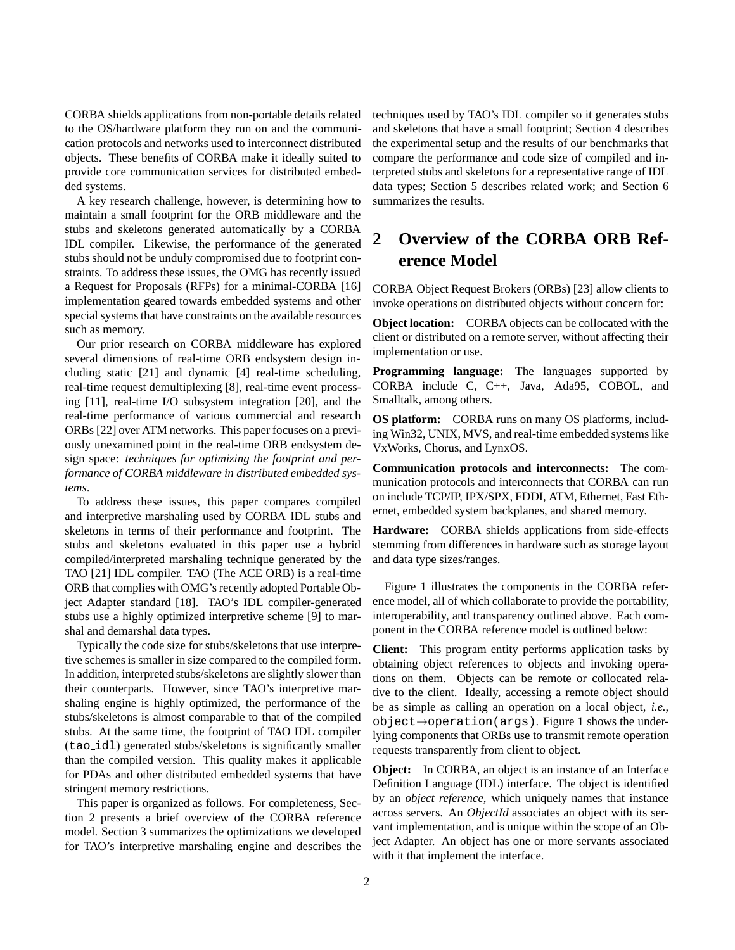CORBA shields applications from non-portable details related to the OS/hardware platform they run on and the communication protocols and networks used to interconnect distributed objects. These benefits of CORBA make it ideally suited to provide core communication services for distributed embedded systems.

A key research challenge, however, is determining how to maintain a small footprint for the ORB middleware and the stubs and skeletons generated automatically by a CORBA IDL compiler. Likewise, the performance of the generated stubs should not be unduly compromised due to footprint constraints. To address these issues, the OMG has recently issued a Request for Proposals (RFPs) for a minimal-CORBA [16] implementation geared towards embedded systems and other special systems that have constraints on the available resources such as memory.

Our prior research on CORBA middleware has explored several dimensions of real-time ORB endsystem design including static [21] and dynamic [4] real-time scheduling, real-time request demultiplexing [8], real-time event processing [11], real-time I/O subsystem integration [20], and the real-time performance of various commercial and research ORBs [22] over ATM networks. This paper focuses on a previously unexamined point in the real-time ORB endsystem design space: *techniques for optimizing the footprint and performance of CORBA middleware in distributed embedded systems*.

To address these issues, this paper compares compiled and interpretive marshaling used by CORBA IDL stubs and skeletons in terms of their performance and footprint. The stubs and skeletons evaluated in this paper use a hybrid compiled/interpreted marshaling technique generated by the TAO [21] IDL compiler. TAO (The ACE ORB) is a real-time ORB that complies with OMG's recently adopted Portable Object Adapter standard [18]. TAO's IDL compiler-generated stubs use a highly optimized interpretive scheme [9] to marshal and demarshal data types.

Typically the code size for stubs/skeletons that use interpretive schemes is smaller in size compared to the compiled form. In addition, interpreted stubs/skeletons are slightly slower than their counterparts. However, since TAO's interpretive marshaling engine is highly optimized, the performance of the stubs/skeletons is almost comparable to that of the compiled stubs. At the same time, the footprint of TAO IDL compiler (tao idl) generated stubs/skeletons is significantly smaller than the compiled version. This quality makes it applicable for PDAs and other distributed embedded systems that have stringent memory restrictions.

This paper is organized as follows. For completeness, Section 2 presents a brief overview of the CORBA reference model. Section 3 summarizes the optimizations we developed for TAO's interpretive marshaling engine and describes the techniques used by TAO's IDL compiler so it generates stubs and skeletons that have a small footprint; Section 4 describes the experimental setup and the results of our benchmarks that compare the performance and code size of compiled and interpreted stubs and skeletons for a representative range of IDL data types; Section 5 describes related work; and Section 6 summarizes the results.

# **2 Overview of the CORBA ORB Reference Model**

CORBA Object Request Brokers (ORBs) [23] allow clients to invoke operations on distributed objects without concern for:

**Object location:** CORBA objects can be collocated with the client or distributed on a remote server, without affecting their implementation or use.

**Programming language:** The languages supported by CORBA include C, C++, Java, Ada95, COBOL, and Smalltalk, among others.

**OS platform:** CORBA runs on many OS platforms, including Win32, UNIX, MVS, and real-time embedded systems like VxWorks, Chorus, and LynxOS.

**Communication protocols and interconnects:** The communication protocols and interconnects that CORBA can run on include TCP/IP, IPX/SPX, FDDI, ATM, Ethernet, Fast Ethernet, embedded system backplanes, and shared memory.

**Hardware:** CORBA shields applications from side-effects stemming from differences in hardware such as storage layout and data type sizes/ranges.

Figure 1 illustrates the components in the CORBA reference model, all of which collaborate to provide the portability, interoperability, and transparency outlined above. Each component in the CORBA reference model is outlined below:

**Client:** This program entity performs application tasks by obtaining object references to objects and invoking operations on them. Objects can be remote or collocated relative to the client. Ideally, accessing a remote object should be as simple as calling an operation on a local object, *i.e.*,  $object \rightarrow operation(args)$ . Figure 1 shows the underlying components that ORBs use to transmit remote operation requests transparently from client to object.

**Object:** In CORBA, an object is an instance of an Interface Definition Language (IDL) interface. The object is identified by an *object reference*, which uniquely names that instance across servers. An *ObjectId* associates an object with its servant implementation, and is unique within the scope of an Object Adapter. An object has one or more servants associated with it that implement the interface.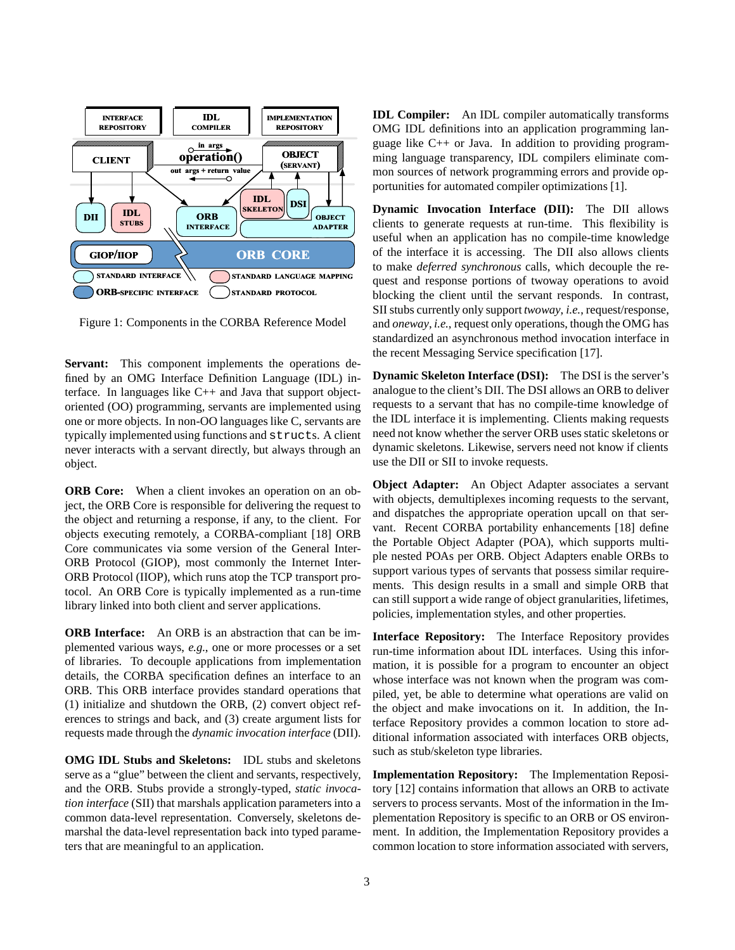

Figure 1: Components in the CORBA Reference Model

**Servant:** This component implements the operations defined by an OMG Interface Definition Language (IDL) interface. In languages like C++ and Java that support objectoriented (OO) programming, servants are implemented using one or more objects. In non-OO languages like C, servants are typically implemented using functions and structs. A client never interacts with a servant directly, but always through an object.

**ORB Core:** When a client invokes an operation on an object, the ORB Core is responsible for delivering the request to the object and returning a response, if any, to the client. For objects executing remotely, a CORBA-compliant [18] ORB Core communicates via some version of the General Inter-ORB Protocol (GIOP), most commonly the Internet Inter-ORB Protocol (IIOP), which runs atop the TCP transport protocol. An ORB Core is typically implemented as a run-time library linked into both client and server applications.

**ORB Interface:** An ORB is an abstraction that can be implemented various ways, *e.g.*, one or more processes or a set of libraries. To decouple applications from implementation details, the CORBA specification defines an interface to an ORB. This ORB interface provides standard operations that (1) initialize and shutdown the ORB, (2) convert object references to strings and back, and (3) create argument lists for requests made through the *dynamic invocation interface* (DII).

**OMG IDL Stubs and Skeletons:** IDL stubs and skeletons serve as a "glue" between the client and servants, respectively, and the ORB. Stubs provide a strongly-typed, *static invocation interface* (SII) that marshals application parameters into a common data-level representation. Conversely, skeletons demarshal the data-level representation back into typed parameters that are meaningful to an application.

**IDL Compiler:** An IDL compiler automatically transforms OMG IDL definitions into an application programming language like C++ or Java. In addition to providing programming language transparency, IDL compilers eliminate common sources of network programming errors and provide opportunities for automated compiler optimizations [1].

**Dynamic Invocation Interface (DII):** The DII allows clients to generate requests at run-time. This flexibility is useful when an application has no compile-time knowledge of the interface it is accessing. The DII also allows clients to make *deferred synchronous* calls, which decouple the request and response portions of twoway operations to avoid blocking the client until the servant responds. In contrast, SII stubs currently only support *twoway*, *i.e.*, request/response, and *oneway*, *i.e.*, request only operations, though the OMG has standardized an asynchronous method invocation interface in the recent Messaging Service specification [17].

**Dynamic Skeleton Interface (DSI):** The DSI is the server's analogue to the client's DII. The DSI allows an ORB to deliver requests to a servant that has no compile-time knowledge of the IDL interface it is implementing. Clients making requests need not know whether the server ORB uses static skeletons or dynamic skeletons. Likewise, servers need not know if clients use the DII or SII to invoke requests.

**Object Adapter:** An Object Adapter associates a servant with objects, demultiplexes incoming requests to the servant, and dispatches the appropriate operation upcall on that servant. Recent CORBA portability enhancements [18] define the Portable Object Adapter (POA), which supports multiple nested POAs per ORB. Object Adapters enable ORBs to support various types of servants that possess similar requirements. This design results in a small and simple ORB that can still support a wide range of object granularities, lifetimes, policies, implementation styles, and other properties.

**Interface Repository:** The Interface Repository provides run-time information about IDL interfaces. Using this information, it is possible for a program to encounter an object whose interface was not known when the program was compiled, yet, be able to determine what operations are valid on the object and make invocations on it. In addition, the Interface Repository provides a common location to store additional information associated with interfaces ORB objects, such as stub/skeleton type libraries.

**Implementation Repository:** The Implementation Repository [12] contains information that allows an ORB to activate servers to process servants. Most of the information in the Implementation Repository is specific to an ORB or OS environment. In addition, the Implementation Repository provides a common location to store information associated with servers,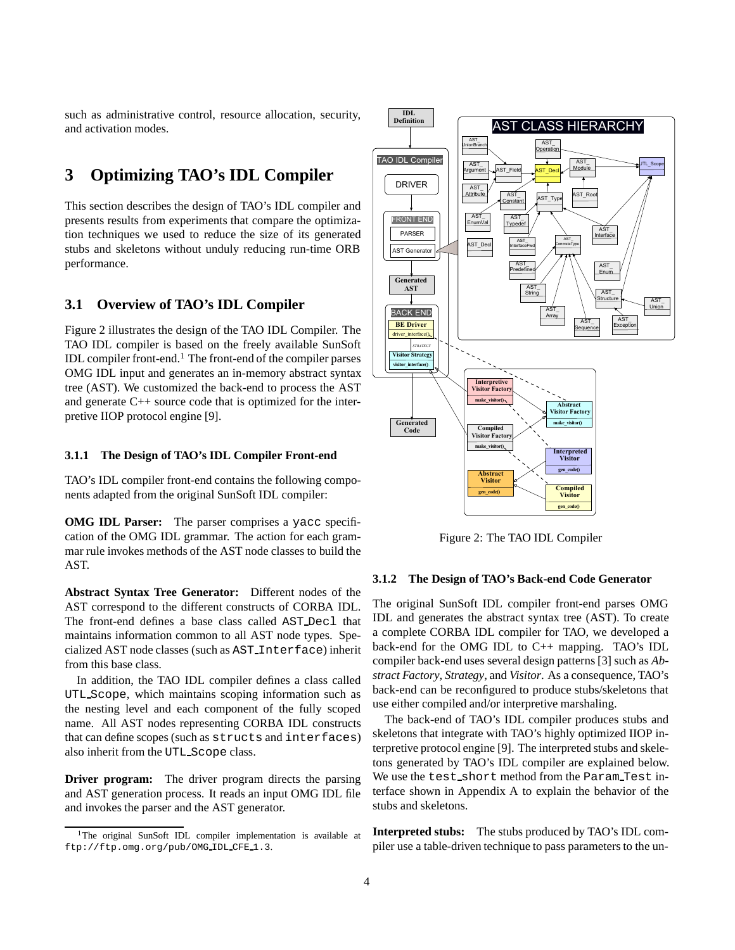such as administrative control, resource allocation, security, and activation modes.

## **3 Optimizing TAO's IDL Compiler**

This section describes the design of TAO's IDL compiler and presents results from experiments that compare the optimization techniques we used to reduce the size of its generated stubs and skeletons without unduly reducing run-time ORB performance.

### **3.1 Overview of TAO's IDL Compiler**

Figure 2 illustrates the design of the TAO IDL Compiler. The TAO IDL compiler is based on the freely available SunSoft IDL compiler front-end.<sup>1</sup> The front-end of the compiler parses OMG IDL input and generates an in-memory abstract syntax tree (AST). We customized the back-end to process the AST and generate C++ source code that is optimized for the interpretive IIOP protocol engine [9].

#### **3.1.1 The Design of TAO's IDL Compiler Front-end**

TAO's IDL compiler front-end contains the following components adapted from the original SunSoft IDL compiler:

**OMG IDL Parser:** The parser comprises a yacc specification of the OMG IDL grammar. The action for each grammar rule invokes methods of the AST node classes to build the AST.

**Abstract Syntax Tree Generator:** Different nodes of the AST correspond to the different constructs of CORBA IDL. The front-end defines a base class called AST Decl that maintains information common to all AST node types. Specialized AST node classes (such as AST Interface) inherit from this base class.

In addition, the TAO IDL compiler defines a class called UTL Scope, which maintains scoping information such as the nesting level and each component of the fully scoped name. All AST nodes representing CORBA IDL constructs that can define scopes (such as structs and interfaces) also inherit from the UTL Scope class.

**Driver program:** The driver program directs the parsing and AST generation process. It reads an input OMG IDL file and invokes the parser and the AST generator.



Figure 2: The TAO IDL Compiler

#### **3.1.2 The Design of TAO's Back-end Code Generator**

The original SunSoft IDL compiler front-end parses OMG IDL and generates the abstract syntax tree (AST). To create a complete CORBA IDL compiler for TAO, we developed a back-end for the OMG IDL to C++ mapping. TAO's IDL compiler back-end uses several design patterns [3] such as *Abstract Factory*, *Strategy*, and *Visitor*. As a consequence, TAO's back-end can be reconfigured to produce stubs/skeletons that use either compiled and/or interpretive marshaling.

The back-end of TAO's IDL compiler produces stubs and skeletons that integrate with TAO's highly optimized IIOP interpretive protocol engine [9]. The interpreted stubs and skeletons generated by TAO's IDL compiler are explained below. We use the test short method from the Param Test interface shown in Appendix A to explain the behavior of the stubs and skeletons.

**Interpreted stubs:** The stubs produced by TAO's IDL compiler use a table-driven technique to pass parameters to the un-

<sup>&</sup>lt;sup>1</sup>The original SunSoft IDL compiler implementation is available at ftp://ftp.omg.org/pub/OMG IDL CFE 1.3.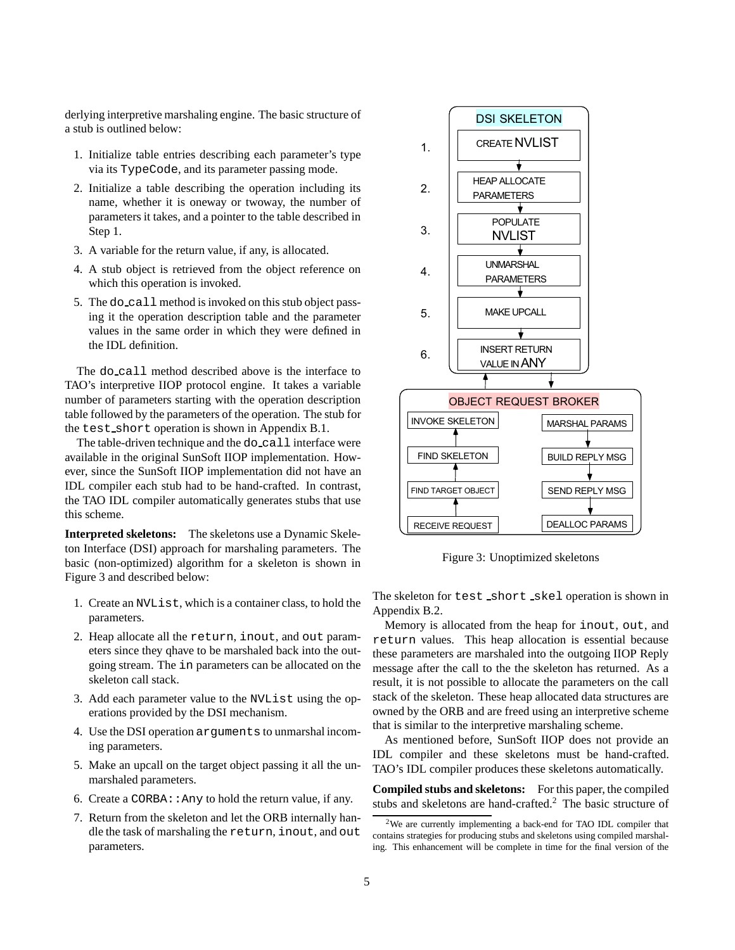derlying interpretive marshaling engine. The basic structure of a stub is outlined below:

- 1. Initialize table entries describing each parameter's type via its TypeCode, and its parameter passing mode.
- 2. Initialize a table describing the operation including its name, whether it is oneway or twoway, the number of parameters it takes, and a pointer to the table described in Step 1.
- 3. A variable for the return value, if any, is allocated.
- 4. A stub object is retrieved from the object reference on which this operation is invoked.
- 5. The do call method is invoked on this stub object passing it the operation description table and the parameter values in the same order in which they were defined in the IDL definition.

The do call method described above is the interface to TAO's interpretive IIOP protocol engine. It takes a variable number of parameters starting with the operation description table followed by the parameters of the operation. The stub for the test short operation is shown in Appendix B.1.

The table-driven technique and the do\_call interface were available in the original SunSoft IIOP implementation. However, since the SunSoft IIOP implementation did not have an IDL compiler each stub had to be hand-crafted. In contrast, the TAO IDL compiler automatically generates stubs that use this scheme.

**Interpreted skeletons:** The skeletons use a Dynamic Skeleton Interface (DSI) approach for marshaling parameters. The basic (non-optimized) algorithm for a skeleton is shown in Figure 3 and described below:

- 1. Create an NVList, which is a container class, to hold the parameters.
- 2. Heap allocate all the return, inout, and out parameters since they qhave to be marshaled back into the outgoing stream. The in parameters can be allocated on the skeleton call stack.
- 3. Add each parameter value to the NVList using the operations provided by the DSI mechanism.
- 4. Use the DSI operation arguments to unmarshal incoming parameters.
- 5. Make an upcall on the target object passing it all the unmarshaled parameters.
- 6. Create a CORBA::Any to hold the return value, if any.
- 7. Return from the skeleton and let the ORB internally handle the task of marshaling the return, inout, and out parameters.



Figure 3: Unoptimized skeletons

The skeleton for test short skel operation is shown in Appendix B.2.

Memory is allocated from the heap for inout, out, and return values. This heap allocation is essential because these parameters are marshaled into the outgoing IIOP Reply message after the call to the the skeleton has returned. As a result, it is not possible to allocate the parameters on the call stack of the skeleton. These heap allocated data structures are owned by the ORB and are freed using an interpretive scheme that is similar to the interpretive marshaling scheme.

As mentioned before, SunSoft IIOP does not provide an IDL compiler and these skeletons must be hand-crafted. TAO's IDL compiler produces these skeletons automatically.

**Compiled stubs and skeletons:** For this paper, the compiled stubs and skeletons are hand-crafted.<sup>2</sup> The basic structure of

<sup>2</sup>We are currently implementing a back-end for TAO IDL compiler that contains strategies for producing stubs and skeletons using compiled marshaling. This enhancement will be complete in time for the final version of the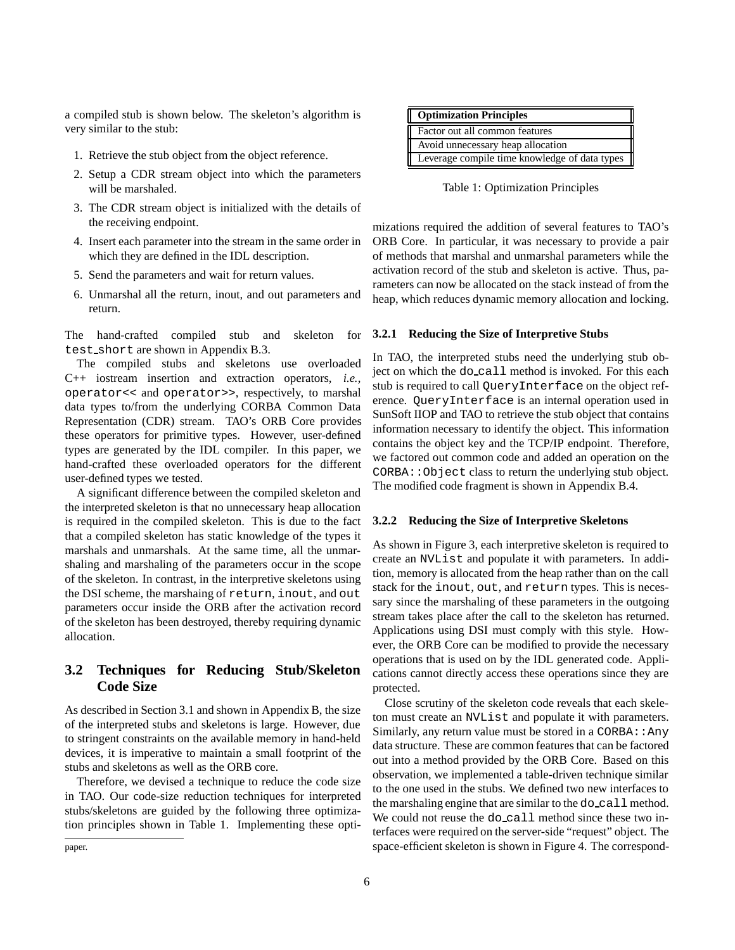a compiled stub is shown below. The skeleton's algorithm is very similar to the stub:

- 1. Retrieve the stub object from the object reference.
- 2. Setup a CDR stream object into which the parameters will be marshaled.
- 3. The CDR stream object is initialized with the details of the receiving endpoint.
- 4. Insert each parameter into the stream in the same order in which they are defined in the IDL description.
- 5. Send the parameters and wait for return values.
- 6. Unmarshal all the return, inout, and out parameters and return.

The hand-crafted compiled stub and skeleton for test short are shown in Appendix B.3.

The compiled stubs and skeletons use overloaded C++ iostream insertion and extraction operators, *i.e.*, operator<< and operator>>, respectively, to marshal data types to/from the underlying CORBA Common Data Representation (CDR) stream. TAO's ORB Core provides these operators for primitive types. However, user-defined types are generated by the IDL compiler. In this paper, we hand-crafted these overloaded operators for the different user-defined types we tested.

A significant difference between the compiled skeleton and the interpreted skeleton is that no unnecessary heap allocation is required in the compiled skeleton. This is due to the fact that a compiled skeleton has static knowledge of the types it marshals and unmarshals. At the same time, all the unmarshaling and marshaling of the parameters occur in the scope of the skeleton. In contrast, in the interpretive skeletons using the DSI scheme, the marshaing of return, inout, and out parameters occur inside the ORB after the activation record of the skeleton has been destroyed, thereby requiring dynamic allocation.

### **3.2 Techniques for Reducing Stub/Skeleton Code Size**

As described in Section 3.1 and shown in Appendix B, the size of the interpreted stubs and skeletons is large. However, due to stringent constraints on the available memory in hand-held devices, it is imperative to maintain a small footprint of the stubs and skeletons as well as the ORB core.

Therefore, we devised a technique to reduce the code size in TAO. Our code-size reduction techniques for interpreted stubs/skeletons are guided by the following three optimization principles shown in Table 1. Implementing these opti-

| Optimization Principles                       |
|-----------------------------------------------|
| Factor out all common features                |
| Avoid unnecessary heap allocation             |
| Leverage compile time knowledge of data types |

Table 1: Optimization Principles

mizations required the addition of several features to TAO's ORB Core. In particular, it was necessary to provide a pair of methods that marshal and unmarshal parameters while the activation record of the stub and skeleton is active. Thus, parameters can now be allocated on the stack instead of from the heap, which reduces dynamic memory allocation and locking.

#### **3.2.1 Reducing the Size of Interpretive Stubs**

In TAO, the interpreted stubs need the underlying stub object on which the do call method is invoked. For this each stub is required to call QueryInterface on the object reference. QueryInterface is an internal operation used in SunSoft IIOP and TAO to retrieve the stub object that contains information necessary to identify the object. This information contains the object key and the TCP/IP endpoint. Therefore, we factored out common code and added an operation on the CORBA::Object class to return the underlying stub object. The modified code fragment is shown in Appendix B.4.

#### **3.2.2 Reducing the Size of Interpretive Skeletons**

As shown in Figure 3, each interpretive skeleton is required to create an NVList and populate it with parameters. In addition, memory is allocated from the heap rather than on the call stack for the inout, out, and return types. This is necessary since the marshaling of these parameters in the outgoing stream takes place after the call to the skeleton has returned. Applications using DSI must comply with this style. However, the ORB Core can be modified to provide the necessary operations that is used on by the IDL generated code. Applications cannot directly access these operations since they are protected.

Close scrutiny of the skeleton code reveals that each skeleton must create an NVList and populate it with parameters. Similarly, any return value must be stored in a  $CORBA: :$  Any data structure. These are common features that can be factored out into a method provided by the ORB Core. Based on this observation, we implemented a table-driven technique similar to the one used in the stubs. We defined two new interfaces to the marshaling engine that are similar to the do\_call method. We could not reuse the do\_call method since these two interfaces were required on the server-side "request" object. The space-efficient skeleton is shown in Figure 4. The correspond-

paper.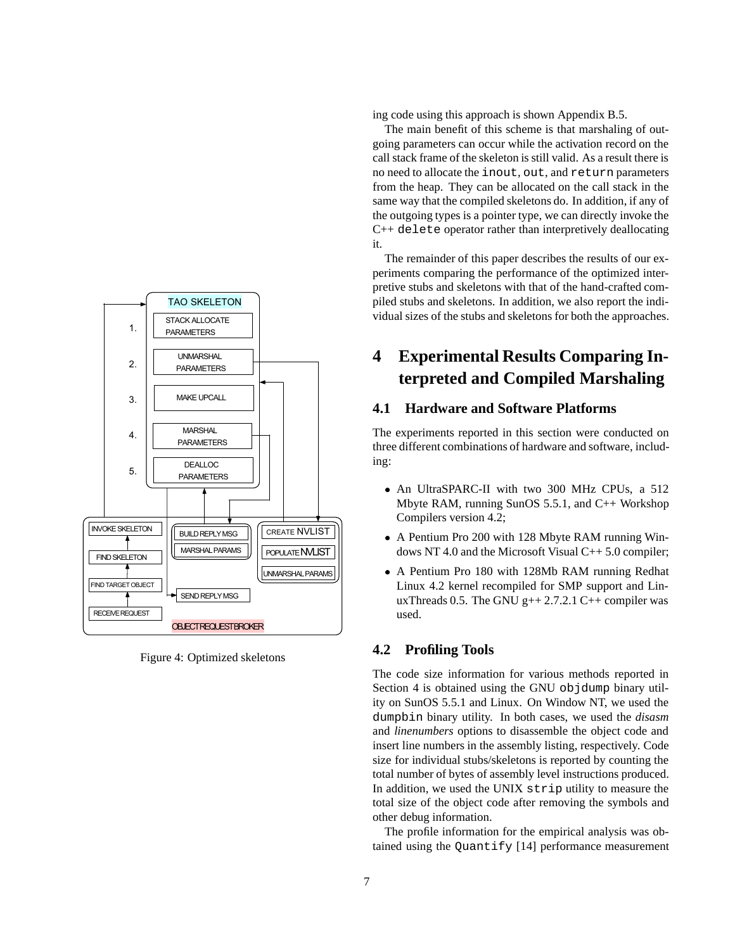

Figure 4: Optimized skeletons

ing code using this approach is shown Appendix B.5.

The main benefit of this scheme is that marshaling of outgoing parameters can occur while the activation record on the call stack frame of the skeleton is still valid. As a result there is no need to allocate the inout, out, and return parameters from the heap. They can be allocated on the call stack in the same way that the compiled skeletons do. In addition, if any of the outgoing types is a pointer type, we can directly invoke the C++ delete operator rather than interpretively deallocating it.

The remainder of this paper describes the results of our experiments comparing the performance of the optimized interpretive stubs and skeletons with that of the hand-crafted compiled stubs and skeletons. In addition, we also report the individual sizes of the stubs and skeletons for both the approaches.

# **4 Experimental Results Comparing Interpreted and Compiled Marshaling**

## **4.1 Hardware and Software Platforms**

The experiments reported in this section were conducted on three different combinations of hardware and software, including:

- An UltraSPARC-II with two 300 MHz CPUs, a 512 Mbyte RAM, running SunOS 5.5.1, and C++ Workshop Compilers version 4.2;
- A Pentium Pro 200 with 128 Mbyte RAM running Windows NT 4.0 and the Microsoft Visual C++ 5.0 compiler;
- A Pentium Pro 180 with 128Mb RAM running Redhat Linux 4.2 kernel recompiled for SMP support and LinuxThreads 0.5. The GNU  $g++ 2.7.2.1$  C++ compiler was used.

## **4.2 Profiling Tools**

The code size information for various methods reported in Section 4 is obtained using the GNU objdump binary utility on SunOS 5.5.1 and Linux. On Window NT, we used the dumpbin binary utility. In both cases, we used the *disasm* and *linenumbers* options to disassemble the object code and insert line numbers in the assembly listing, respectively. Code size for individual stubs/skeletons is reported by counting the total number of bytes of assembly level instructions produced. In addition, we used the UNIX strip utility to measure the total size of the object code after removing the symbols and other debug information.

The profile information for the empirical analysis was obtained using the Quantify [14] performance measurement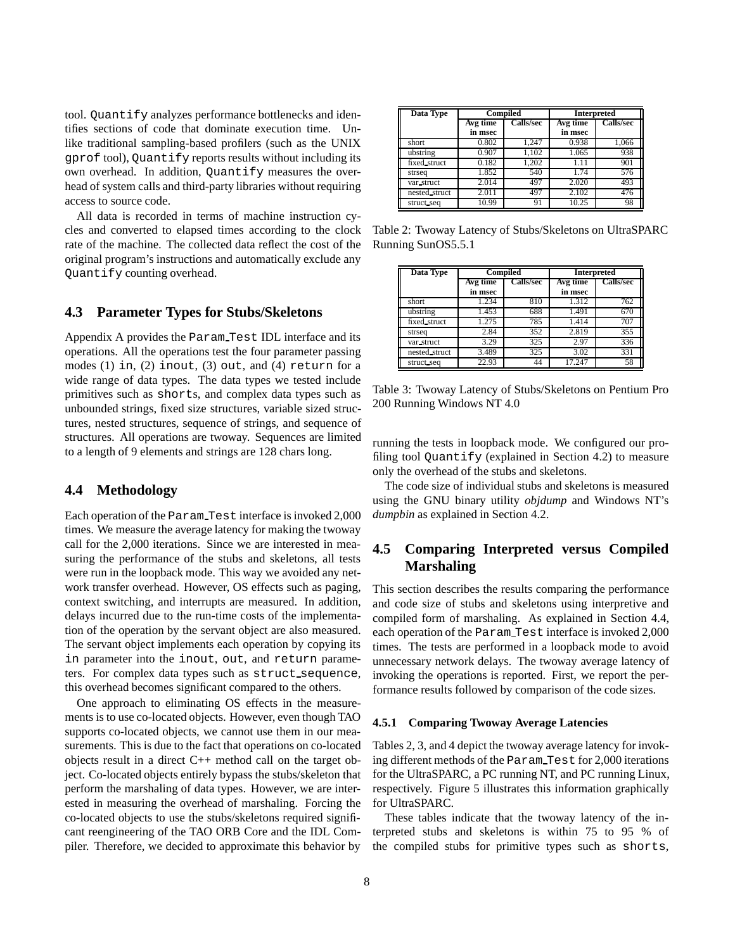tool. Quantify analyzes performance bottlenecks and identifies sections of code that dominate execution time. Unlike traditional sampling-based profilers (such as the UNIX gprof tool), Quantify reports results without including its own overhead. In addition, Quantify measures the overhead of system calls and third-party libraries without requiring access to source code.

All data is recorded in terms of machine instruction cycles and converted to elapsed times according to the clock rate of the machine. The collected data reflect the cost of the original program's instructions and automatically exclude any Quantify counting overhead.

#### **4.3 Parameter Types for Stubs/Skeletons**

Appendix A provides the Param Test IDL interface and its operations. All the operations test the four parameter passing modes (1) in, (2) inout, (3) out, and (4) return for a wide range of data types. The data types we tested include primitives such as shorts, and complex data types such as unbounded strings, fixed size structures, variable sized structures, nested structures, sequence of strings, and sequence of structures. All operations are twoway. Sequences are limited to a length of 9 elements and strings are 128 chars long.

### **4.4 Methodology**

Each operation of the Param Test interface is invoked 2,000 times. We measure the average latency for making the twoway call for the 2,000 iterations. Since we are interested in measuring the performance of the stubs and skeletons, all tests were run in the loopback mode. This way we avoided any network transfer overhead. However, OS effects such as paging, context switching, and interrupts are measured. In addition, delays incurred due to the run-time costs of the implementation of the operation by the servant object are also measured. The servant object implements each operation by copying its in parameter into the inout, out, and return parameters. For complex data types such as struct sequence, this overhead becomes significant compared to the others.

One approach to eliminating OS effects in the measurements is to use co-located objects. However, even though TAO supports co-located objects, we cannot use them in our measurements. This is due to the fact that operations on co-located objects result in a direct C++ method call on the target object. Co-located objects entirely bypass the stubs/skeleton that perform the marshaling of data types. However, we are interested in measuring the overhead of marshaling. Forcing the co-located objects to use the stubs/skeletons required significant reengineering of the TAO ORB Core and the IDL Compiler. Therefore, we decided to approximate this behavior by

| <b>Data Type</b> |                       | <b>Compiled</b> |          | <b>Interpreted</b> |
|------------------|-----------------------|-----------------|----------|--------------------|
|                  | Avg time<br>Calls/sec |                 | Avg time | Calls/sec          |
|                  | in msec               |                 | in msec  |                    |
| short            | 0.802                 | 1.247           | 0.938    | 1,066              |
| ubstring         | 0.907                 | 1.102           | 1.065    | 938                |
| fixed_struct     | 0.182                 | 1.202           | 1.11     | 901                |
| strseq           | 1.852                 | 540             | 1.74     | 576                |
| var_struct       | 2.014                 | 497             | 2.020    | 493                |
| nested struct    | 2.011                 | 497             | 2.102    | 476                |
| struct_seq       | 10.99                 | 91              | 10.25    | 98                 |

Table 2: Twoway Latency of Stubs/Skeletons on UltraSPARC Running SunOS5.5.1

| <b>Data Type</b> | Compiled                     |     |          | <b>Interpreted</b> |
|------------------|------------------------------|-----|----------|--------------------|
|                  | <b>Calls/sec</b><br>Avg time |     | Avg time | <b>Calls/sec</b>   |
|                  | in msec                      |     | in msec  |                    |
| short            | 1.234                        | 810 | 1.312    | 762                |
| ubstring         | 1.453                        | 688 | 1.491    | 670                |
| fixed_struct     | 1.275                        | 785 | 1.414    | 707                |
| strseq           | 2.84                         | 352 | 2.819    | 355                |
| var struct       | 3.29                         | 325 | 2.97     | 336                |
| nested struct    | 3.489                        | 325 | 3.02     | 331                |
| struct_seq       | 22.93                        | 44  | 17.247   | 58                 |

Table 3: Twoway Latency of Stubs/Skeletons on Pentium Pro 200 Running Windows NT 4.0

running the tests in loopback mode. We configured our profiling tool Quantify (explained in Section 4.2) to measure only the overhead of the stubs and skeletons.

The code size of individual stubs and skeletons is measured using the GNU binary utility *objdump* and Windows NT's *dumpbin* as explained in Section 4.2.

## **4.5 Comparing Interpreted versus Compiled Marshaling**

This section describes the results comparing the performance and code size of stubs and skeletons using interpretive and compiled form of marshaling. As explained in Section 4.4, each operation of the Param Test interface is invoked 2,000 times. The tests are performed in a loopback mode to avoid unnecessary network delays. The twoway average latency of invoking the operations is reported. First, we report the performance results followed by comparison of the code sizes.

#### **4.5.1 Comparing Twoway Average Latencies**

Tables 2, 3, and 4 depict the twoway average latency for invoking different methods of the Param Test for 2,000 iterations for the UltraSPARC, a PC running NT, and PC running Linux, respectively. Figure 5 illustrates this information graphically for UltraSPARC.

These tables indicate that the twoway latency of the interpreted stubs and skeletons is within 75 to 95 % of the compiled stubs for primitive types such as shorts,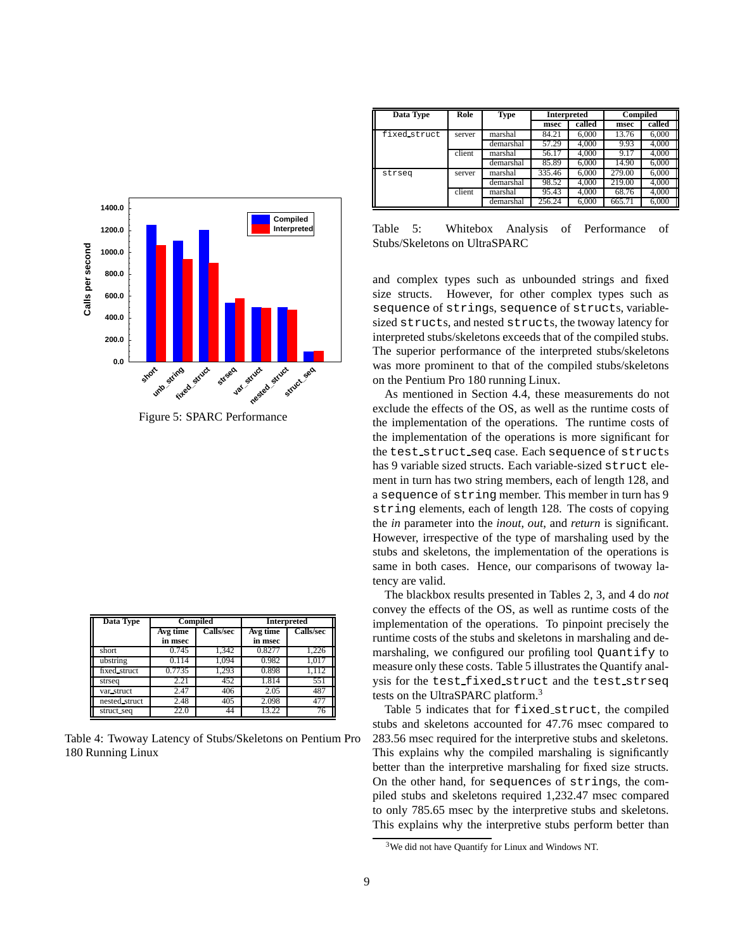

Figure 5: SPARC Performance

| Data Type     | <b>Compiled</b>              |       | <b>Interpreted</b> |                  |  |
|---------------|------------------------------|-------|--------------------|------------------|--|
|               | <b>Calls/sec</b><br>Avg time |       | Avg time           | <b>Calls/sec</b> |  |
|               | in msec                      |       | in msec            |                  |  |
| short         | 0.745                        | 1.342 | 0.8277             | 1,226            |  |
| ubstring      | 0.114                        | 1.094 | 0.982              | 1.017            |  |
| fixed_struct  | 0.7735                       | 1,293 | 0.898              | 1,112            |  |
| strseq        | $\overline{2.21}$            | 452   | 1.814              | 551              |  |
| var struct    | 2.47                         | 406   | 2.05               | 487              |  |
| nested_struct | 2.48                         | 405   | 2.098              | 477              |  |
| struct_seq    | 22.0                         | 44    | 13.22              | 76               |  |

Table 4: Twoway Latency of Stubs/Skeletons on Pentium Pro 180 Running Linux

| Data Type    | Role   | Compiled<br><b>Type</b><br><b>Interpreted</b> |        |        |        |        |
|--------------|--------|-----------------------------------------------|--------|--------|--------|--------|
|              |        |                                               | msec   | called | msec   | called |
| fixed_struct | server | marshal                                       | 84.21  | 6.000  | 13.76  | 6,000  |
|              |        | demarshal                                     | 57.29  | 4.000  | 9.93   | 4.000  |
|              | client | marshal                                       | 56.17  | 4.000  | 9.17   | 4.000  |
|              |        | demarshal                                     | 85.89  | 6.000  | 14.90  | 6.000  |
| strseq       | server | marshal                                       | 335.46 | 6.000  | 279.00 | 6.000  |
|              |        | demarshal                                     | 98.52  | 4.000  | 219.00 | 4.000  |
|              | client | marshal                                       | 95.43  | 4.000  | 68.76  | 4.000  |
|              |        | demarshal                                     | 256.24 | 6.000  | 665.71 | 6.000  |

Table 5: Whitebox Analysis of Performance of Stubs/Skeletons on UltraSPARC

and complex types such as unbounded strings and fixed size structs. However, for other complex types such as sequence of strings, sequence of structs, variablesized structs, and nested structs, the twoway latency for interpreted stubs/skeletons exceeds that of the compiled stubs. The superior performance of the interpreted stubs/skeletons was more prominent to that of the compiled stubs/skeletons on the Pentium Pro 180 running Linux.

As mentioned in Section 4.4, these measurements do not exclude the effects of the OS, as well as the runtime costs of the implementation of the operations. The runtime costs of the implementation of the operations is more significant for the test struct seq case. Each sequence of structs has 9 variable sized structs. Each variable-sized struct element in turn has two string members, each of length 128, and a sequence of string member. This member in turn has 9 string elements, each of length 128. The costs of copying the *in* parameter into the *inout*, *out*, and *return* is significant. However, irrespective of the type of marshaling used by the stubs and skeletons, the implementation of the operations is same in both cases. Hence, our comparisons of twoway latency are valid.

The blackbox results presented in Tables 2, 3, and 4 do *not* convey the effects of the OS, as well as runtime costs of the implementation of the operations. To pinpoint precisely the runtime costs of the stubs and skeletons in marshaling and demarshaling, we configured our profiling tool Quantify to measure only these costs. Table 5 illustrates the Quantify analysis for the test fixed struct and the test strseq tests on the UltraSPARC platform.<sup>3</sup>

Table 5 indicates that for fixed struct, the compiled stubs and skeletons accounted for 47.76 msec compared to 283.56 msec required for the interpretive stubs and skeletons. This explains why the compiled marshaling is significantly better than the interpretive marshaling for fixed size structs. On the other hand, for sequences of strings, the compiled stubs and skeletons required 1,232.47 msec compared to only 785.65 msec by the interpretive stubs and skeletons. This explains why the interpretive stubs perform better than

<sup>&</sup>lt;sup>3</sup>We did not have Quantify for Linux and Windows NT.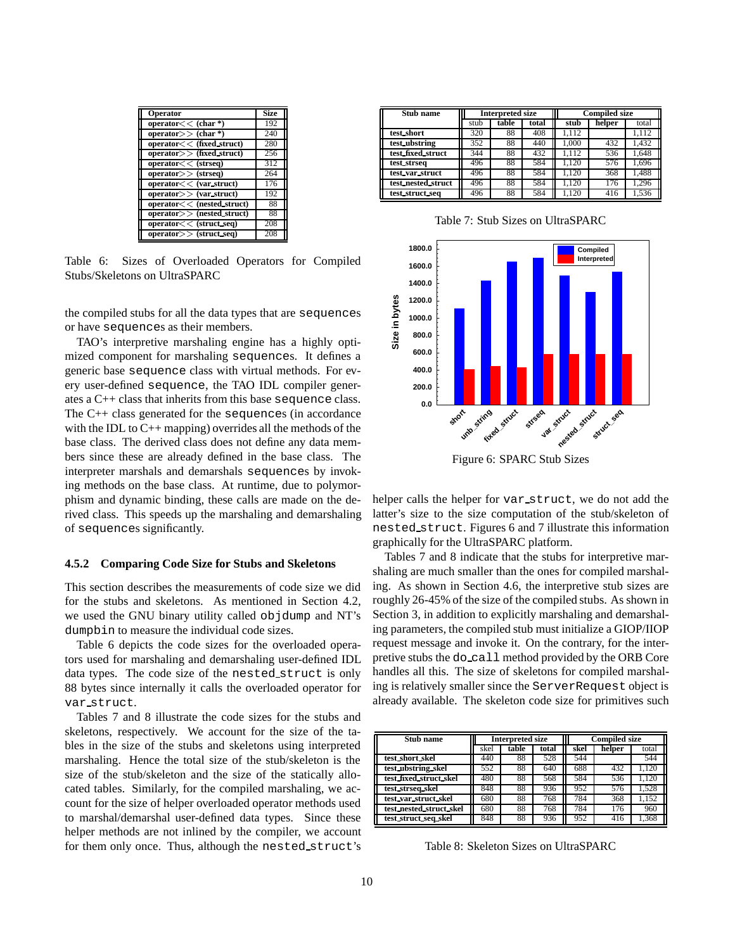| <b>Operator</b>                               | <b>Size</b> |
|-----------------------------------------------|-------------|
| operator $<<$ (char $*)$                      | 192         |
| operator $>$ $\langle$ char *)                | 240         |
| $operator < \overline{(\text{fixed struct})}$ | 280         |
| operator > (fixed struct)                     | 256         |
| operator < (strseq)                           | 312         |
| $operator>>$ (strseq)                         | 264         |
| operator < (var struct)                       | 176         |
| operator > (var struct)                       | 192         |
| operator<< (nested_struct)                    | 88          |
| $operator$ $>$ (nested struct)                | 88          |
| $operator < (struct\_seq)$                    | 208         |
| operator > (struct seq)                       | 208         |

Table 6: Sizes of Overloaded Operators for Compiled Stubs/Skeletons on UltraSPARC

the compiled stubs for all the data types that are sequences or have sequences as their members.

TAO's interpretive marshaling engine has a highly optimized component for marshaling sequences. It defines a generic base sequence class with virtual methods. For every user-defined sequence, the TAO IDL compiler generates a C++ class that inherits from this base sequence class. The C++ class generated for the sequences (in accordance with the IDL to C++ mapping) overrides all the methods of the base class. The derived class does not define any data members since these are already defined in the base class. The interpreter marshals and demarshals sequences by invoking methods on the base class. At runtime, due to polymorphism and dynamic binding, these calls are made on the derived class. This speeds up the marshaling and demarshaling of sequences significantly.

#### **4.5.2 Comparing Code Size for Stubs and Skeletons**

This section describes the measurements of code size we did for the stubs and skeletons. As mentioned in Section 4.2, we used the GNU binary utility called objdump and NT's dumpbin to measure the individual code sizes.

Table 6 depicts the code sizes for the overloaded operators used for marshaling and demarshaling user-defined IDL data types. The code size of the nested struct is only 88 bytes since internally it calls the overloaded operator for var struct.

Tables 7 and 8 illustrate the code sizes for the stubs and skeletons, respectively. We account for the size of the tables in the size of the stubs and skeletons using interpreted marshaling. Hence the total size of the stub/skeleton is the size of the stub/skeleton and the size of the statically allocated tables. Similarly, for the compiled marshaling, we account for the size of helper overloaded operator methods used to marshal/demarshal user-defined data types. Since these helper methods are not inlined by the compiler, we account for them only once. Thus, although the nested struct's

| Stub name          | <b>Interpreted size</b> |       |       |       | <b>Compiled size</b> |       |
|--------------------|-------------------------|-------|-------|-------|----------------------|-------|
|                    | stub                    | table | total | stub  | helper               | total |
| test_short         | 320                     | 88    | 408   | 1.112 |                      | 1.112 |
| test ubstring      | 352                     | 88    | 440   | 1.000 | 432                  | 1.432 |
| test fixed struct  | 344                     | 88    | 432   | 1.112 | 536                  | 1.648 |
| test_strseq        | 496                     | 88    | 584   | .120  | 576                  | 1.696 |
| test var struct    | 496                     | 88    | 584   | 1.120 | 368                  | 1,488 |
| test_nested_struct | 496                     | 88    | 584   | 1.120 | 176                  | 1.296 |
| test struct seq    | 496                     | 88    | 584   | .120  | 416                  | 1,536 |

Table 7: Stub Sizes on UltraSPARC



Figure 6: SPARC Stub Sizes

helper calls the helper for var\_struct, we do not add the latter's size to the size computation of the stub/skeleton of nested struct. Figures 6 and 7 illustrate this information graphically for the UltraSPARC platform.

Tables 7 and 8 indicate that the stubs for interpretive marshaling are much smaller than the ones for compiled marshaling. As shown in Section 4.6, the interpretive stub sizes are roughly 26-45% of the size of the compiled stubs. As shown in Section 3, in addition to explicitly marshaling and demarshaling parameters, the compiled stub must initialize a GIOP/IIOP request message and invoke it. On the contrary, for the interpretive stubs the do call method provided by the ORB Core handles all this. The size of skeletons for compiled marshaling is relatively smaller since the ServerRequest object is already available. The skeleton code size for primitives such

| Stub name               | <b>Interpreted size</b> |       |       |      | <b>Compiled size</b> |       |
|-------------------------|-------------------------|-------|-------|------|----------------------|-------|
|                         | skel                    | table | total | skel | helper               | total |
| test short skel         | 440                     | 88    | 528   | 544  |                      | 544   |
| test ubstring skel      | 552                     | 88    | 640   | 688  | 432                  | 1.120 |
| test_fixed_struct_skel  | 480                     | 88    | 568   | 584  | 536                  | .120  |
| test strseq skel        | 848                     | 88    | 936   | 952  | 576                  | 1.528 |
| test_var_struct_skel    | 680                     | 88    | 768   | 784  | 368                  | 1.152 |
| test_nested_struct_skel | 680                     | 88    | 768   | 784  | 176                  | 960   |
| test_struct_seq_skel    | 848                     | 88    | 936   | 952  | 416                  | 1.368 |

Table 8: Skeleton Sizes on UltraSPARC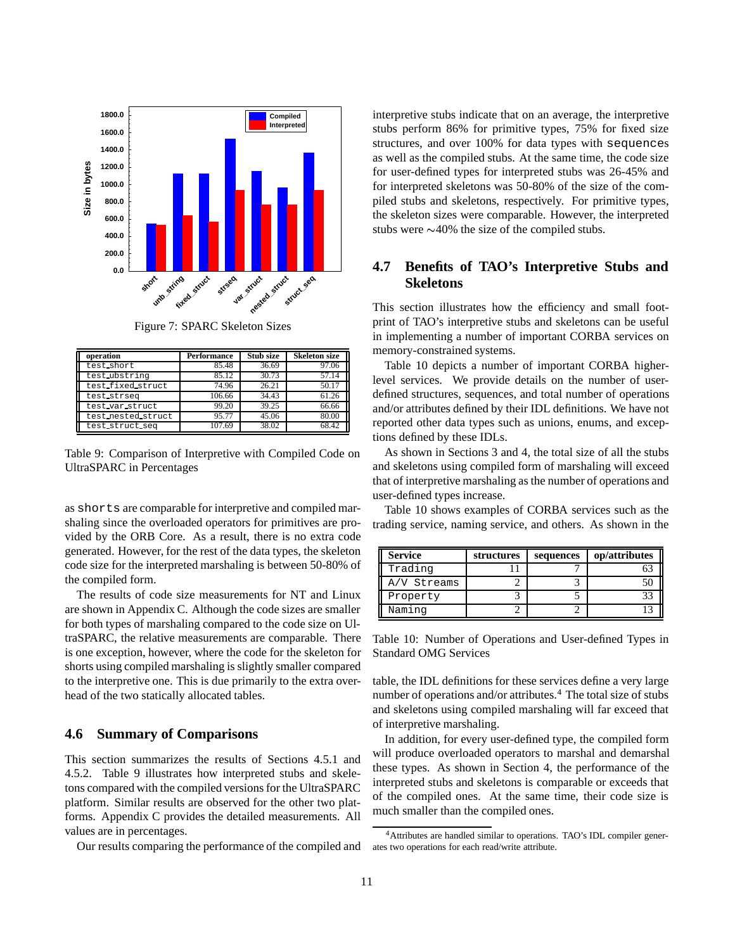

Figure 7: SPARC Skeleton Sizes

| operation          | <b>Performance</b> | Stub size | <b>Skeleton size</b> |
|--------------------|--------------------|-----------|----------------------|
| test_short         | 85.48              | 36.69     | 97.06                |
| test_ubstring      | 85.12              | 30.73     | 57.14                |
| test fixed struct  | 74.96              | 26.21     | 50.17                |
| test strseq        | 106.66             | 34.43     | 61.26                |
| test_var_struct    | 99.20              | 39.25     | 66.66                |
| test nested struct | 95.77              | 45.06     | 80.00                |
| test_struct_seq    | 107.69             | 38.02     | 68.42                |

Table 9: Comparison of Interpretive with Compiled Code on UltraSPARC in Percentages

as shorts are comparable for interpretive and compiled marshaling since the overloaded operators for primitives are provided by the ORB Core. As a result, there is no extra code generated. However, for the rest of the data types, the skeleton code size for the interpreted marshaling is between 50-80% of the compiled form.

The results of code size measurements for NT and Linux are shown in Appendix C. Although the code sizes are smaller for both types of marshaling compared to the code size on UltraSPARC, the relative measurements are comparable. There is one exception, however, where the code for the skeleton for shorts using compiled marshaling is slightly smaller compared to the interpretive one. This is due primarily to the extra overhead of the two statically allocated tables.

#### **4.6 Summary of Comparisons**

This section summarizes the results of Sections 4.5.1 and 4.5.2. Table 9 illustrates how interpreted stubs and skeletons compared with the compiled versions for the UltraSPARC platform. Similar results are observed for the other two platforms. Appendix C provides the detailed measurements. All values are in percentages.

Our results comparing the performance of the compiled and

interpretive stubs indicate that on an average, the interpretive stubs perform 86% for primitive types, 75% for fixed size structures, and over 100% for data types with sequences as well as the compiled stubs. At the same time, the code size for user-defined types for interpreted stubs was 26-45% and for interpreted skeletons was 50-80% of the size of the compiled stubs and skeletons, respectively. For primitive types, the skeleton sizes were comparable. However, the interpreted stubs were  $\sim$ 40% the size of the compiled stubs.

## **4.7 Benefits of TAO's Interpretive Stubs and Skeletons**

This section illustrates how the efficiency and small footprint of TAO's interpretive stubs and skeletons can be useful in implementing a number of important CORBA services on memory-constrained systems.

Table 10 depicts a number of important CORBA higherlevel services. We provide details on the number of userdefined structures, sequences, and total number of operations and/or attributes defined by their IDL definitions. We have not reported other data types such as unions, enums, and exceptions defined by these IDLs.

As shown in Sections 3 and 4, the total size of all the stubs and skeletons using compiled form of marshaling will exceed that of interpretive marshaling as the number of operations and user-defined types increase.

Table 10 shows examples of CORBA services such as the trading service, naming service, and others. As shown in the

| <b>Service</b> | structures | sequences | op/attributes |
|----------------|------------|-----------|---------------|
| Trading        |            |           |               |
| A/V Streams    |            |           |               |
| Property       |            |           |               |
| Naming         |            |           |               |

Table 10: Number of Operations and User-defined Types in Standard OMG Services

table, the IDL definitions for these services define a very large number of operations and/or attributes.<sup>4</sup> The total size of stubs and skeletons using compiled marshaling will far exceed that of interpretive marshaling.

In addition, for every user-defined type, the compiled form will produce overloaded operators to marshal and demarshal these types. As shown in Section 4, the performance of the interpreted stubs and skeletons is comparable or exceeds that of the compiled ones. At the same time, their code size is much smaller than the compiled ones.

<sup>4</sup>Attributes are handled similar to operations. TAO's IDL compiler generates two operations for each read/write attribute.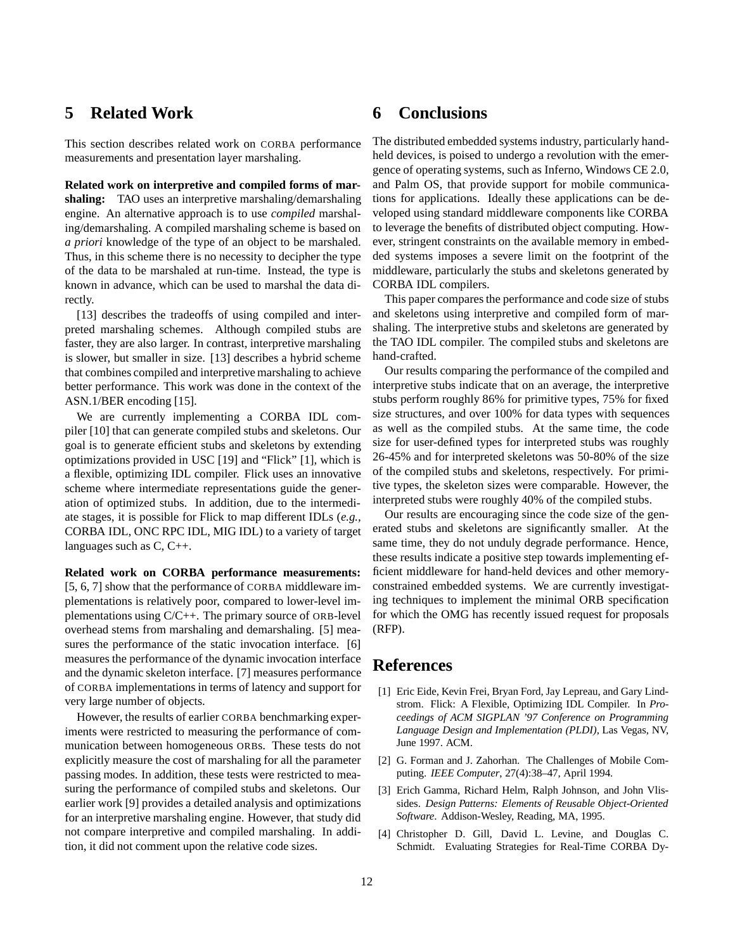## **5 Related Work**

This section describes related work on CORBA performance measurements and presentation layer marshaling.

**Related work on interpretive and compiled forms of marshaling:** TAO uses an interpretive marshaling/demarshaling engine. An alternative approach is to use *compiled* marshaling/demarshaling. A compiled marshaling scheme is based on *a priori* knowledge of the type of an object to be marshaled. Thus, in this scheme there is no necessity to decipher the type of the data to be marshaled at run-time. Instead, the type is known in advance, which can be used to marshal the data directly.

[13] describes the tradeoffs of using compiled and interpreted marshaling schemes. Although compiled stubs are faster, they are also larger. In contrast, interpretive marshaling is slower, but smaller in size. [13] describes a hybrid scheme that combines compiled and interpretive marshaling to achieve better performance. This work was done in the context of the ASN.1/BER encoding [15].

We are currently implementing a CORBA IDL compiler [10] that can generate compiled stubs and skeletons. Our goal is to generate efficient stubs and skeletons by extending optimizations provided in USC [19] and "Flick" [1], which is a flexible, optimizing IDL compiler. Flick uses an innovative scheme where intermediate representations guide the generation of optimized stubs. In addition, due to the intermediate stages, it is possible for Flick to map different IDLs (*e.g.,* CORBA IDL, ONC RPC IDL, MIG IDL) to a variety of target languages such as C, C++.

**Related work on CORBA performance measurements:** [5, 6, 7] show that the performance of CORBA middleware implementations is relatively poor, compared to lower-level implementations using C/C++. The primary source of ORB-level overhead stems from marshaling and demarshaling. [5] measures the performance of the static invocation interface. [6] measures the performance of the dynamic invocation interface and the dynamic skeleton interface. [7] measures performance of CORBA implementations in terms of latency and support for very large number of objects.

However, the results of earlier CORBA benchmarking experiments were restricted to measuring the performance of communication between homogeneous ORBs. These tests do not explicitly measure the cost of marshaling for all the parameter passing modes. In addition, these tests were restricted to measuring the performance of compiled stubs and skeletons. Our earlier work [9] provides a detailed analysis and optimizations for an interpretive marshaling engine. However, that study did not compare interpretive and compiled marshaling. In addition, it did not comment upon the relative code sizes.

## **6 Conclusions**

The distributed embedded systems industry, particularly handheld devices, is poised to undergo a revolution with the emergence of operating systems, such as Inferno, Windows CE 2.0, and Palm OS, that provide support for mobile communications for applications. Ideally these applications can be developed using standard middleware components like CORBA to leverage the benefits of distributed object computing. However, stringent constraints on the available memory in embedded systems imposes a severe limit on the footprint of the middleware, particularly the stubs and skeletons generated by CORBA IDL compilers.

This paper compares the performance and code size of stubs and skeletons using interpretive and compiled form of marshaling. The interpretive stubs and skeletons are generated by the TAO IDL compiler. The compiled stubs and skeletons are hand-crafted.

Our results comparing the performance of the compiled and interpretive stubs indicate that on an average, the interpretive stubs perform roughly 86% for primitive types, 75% for fixed size structures, and over 100% for data types with sequences as well as the compiled stubs. At the same time, the code size for user-defined types for interpreted stubs was roughly 26-45% and for interpreted skeletons was 50-80% of the size of the compiled stubs and skeletons, respectively. For primitive types, the skeleton sizes were comparable. However, the interpreted stubs were roughly 40% of the compiled stubs.

Our results are encouraging since the code size of the generated stubs and skeletons are significantly smaller. At the same time, they do not unduly degrade performance. Hence, these results indicate a positive step towards implementing efficient middleware for hand-held devices and other memoryconstrained embedded systems. We are currently investigating techniques to implement the minimal ORB specification for which the OMG has recently issued request for proposals (RFP).

## **References**

- [1] Eric Eide, Kevin Frei, Bryan Ford, Jay Lepreau, and Gary Lindstrom. Flick: A Flexible, Optimizing IDL Compiler. In *Proceedings of ACM SIGPLAN '97 Conference on Programming Language Design and Implementation (PLDI)*, Las Vegas, NV, June 1997. ACM.
- [2] G. Forman and J. Zahorhan. The Challenges of Mobile Computing. *IEEE Computer*, 27(4):38–47, April 1994.
- [3] Erich Gamma, Richard Helm, Ralph Johnson, and John Vlissides. *Design Patterns: Elements of Reusable Object-Oriented Software*. Addison-Wesley, Reading, MA, 1995.
- [4] Christopher D. Gill, David L. Levine, and Douglas C. Schmidt. Evaluating Strategies for Real-Time CORBA Dy-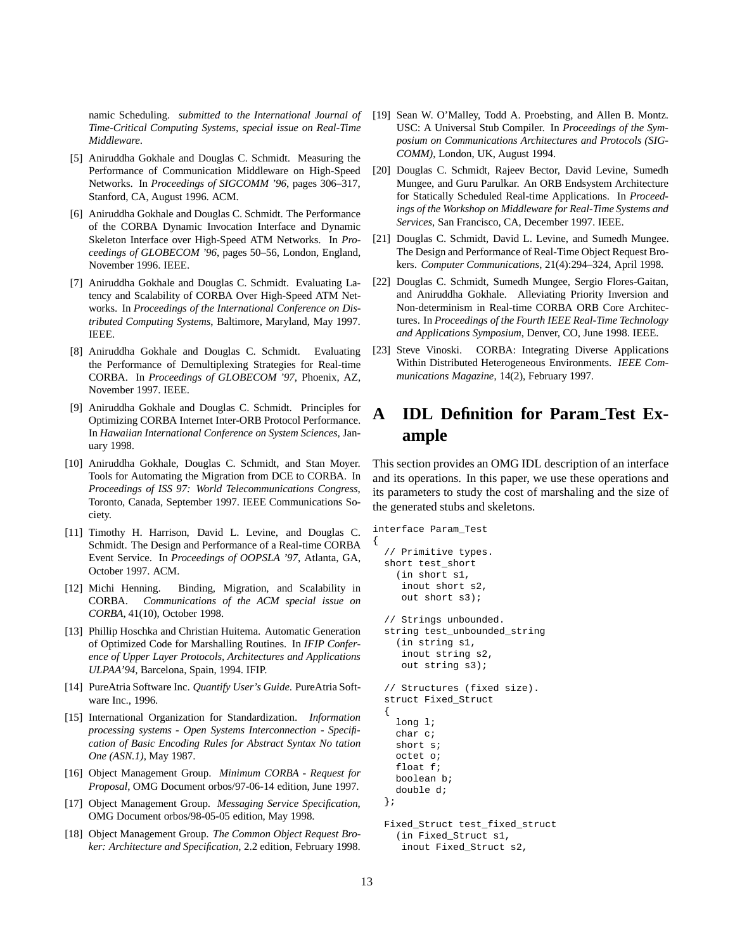namic Scheduling. *submitted to the International Journal of Time-Critical Computing Systems, special issue on Real-Time Middleware*.

- [5] Aniruddha Gokhale and Douglas C. Schmidt. Measuring the Performance of Communication Middleware on High-Speed Networks. In *Proceedings of SIGCOMM '96*, pages 306–317, Stanford, CA, August 1996. ACM.
- [6] Aniruddha Gokhale and Douglas C. Schmidt. The Performance of the CORBA Dynamic Invocation Interface and Dynamic Skeleton Interface over High-Speed ATM Networks. In *Proceedings of GLOBECOM '96*, pages 50–56, London, England, November 1996. IEEE.
- [7] Aniruddha Gokhale and Douglas C. Schmidt. Evaluating Latency and Scalability of CORBA Over High-Speed ATM Networks. In *Proceedings of the International Conference on Distributed Computing Systems*, Baltimore, Maryland, May 1997. IEEE.
- [8] Aniruddha Gokhale and Douglas C. Schmidt. Evaluating the Performance of Demultiplexing Strategies for Real-time CORBA. In *Proceedings of GLOBECOM '97*, Phoenix, AZ, November 1997. IEEE.
- [9] Aniruddha Gokhale and Douglas C. Schmidt. Principles for Optimizing CORBA Internet Inter-ORB Protocol Performance. In *Hawaiian International Conference on System Sciences*, January 1998.
- [10] Aniruddha Gokhale, Douglas C. Schmidt, and Stan Moyer. Tools for Automating the Migration from DCE to CORBA. In *Proceedings of ISS 97: World Telecommunications Congress*, Toronto, Canada, September 1997. IEEE Communications Society.
- [11] Timothy H. Harrison, David L. Levine, and Douglas C. Schmidt. The Design and Performance of a Real-time CORBA Event Service. In *Proceedings of OOPSLA '97*, Atlanta, GA, October 1997. ACM.
- [12] Michi Henning. Binding, Migration, and Scalability in CORBA. *Communications of the ACM special issue on CORBA*, 41(10), October 1998.
- [13] Phillip Hoschka and Christian Huitema. Automatic Generation of Optimized Code for Marshalling Routines. In *IFIP Conference of Upper Layer Protocols, Architectures and Applications ULPAA'94*, Barcelona, Spain, 1994. IFIP.
- [14] PureAtria Software Inc. *Quantify User's Guide*. PureAtria Software Inc., 1996.
- [15] International Organization for Standardization. *Information processing systems - Open Systems Interconnection - Specification of Basic Encoding Rules for Abstract Syntax No tation One (ASN.1)*, May 1987.
- [16] Object Management Group. *Minimum CORBA Request for Proposal*, OMG Document orbos/97-06-14 edition, June 1997.
- [17] Object Management Group. *Messaging Service Specification*, OMG Document orbos/98-05-05 edition, May 1998.
- [18] Object Management Group. *The Common Object Request Broker: Architecture and Specification*, 2.2 edition, February 1998.
- [19] Sean W. O'Malley, Todd A. Proebsting, and Allen B. Montz. USC: A Universal Stub Compiler. In *Proceedings of the Symposium on Communications Architectures and Protocols (SIG-COMM)*, London, UK, August 1994.
- [20] Douglas C. Schmidt, Rajeev Bector, David Levine, Sumedh Mungee, and Guru Parulkar. An ORB Endsystem Architecture for Statically Scheduled Real-time Applications. In *Proceedings of the Workshop on Middleware for Real-Time Systems and Services*, San Francisco, CA, December 1997. IEEE.
- [21] Douglas C. Schmidt, David L. Levine, and Sumedh Mungee. The Design and Performance of Real-Time Object Request Brokers. *Computer Communications*, 21(4):294–324, April 1998.
- [22] Douglas C. Schmidt, Sumedh Mungee, Sergio Flores-Gaitan, and Aniruddha Gokhale. Alleviating Priority Inversion and Non-determinism in Real-time CORBA ORB Core Architectures. In *Proceedings of the Fourth IEEE Real-Time Technology and Applications Symposium*, Denver, CO, June 1998. IEEE.
- [23] Steve Vinoski. CORBA: Integrating Diverse Applications Within Distributed Heterogeneous Environments. *IEEE Communications Magazine*, 14(2), February 1997.

# **A IDL Definition for Param Test Example**

This section provides an OMG IDL description of an interface and its operations. In this paper, we use these operations and its parameters to study the cost of marshaling and the size of the generated stubs and skeletons.

```
interface Param_Test
{
  // Primitive types.
  short test_short
    (in short s1,
     inout short s2,
     out short s3);
  // Strings unbounded.
  string test_unbounded_string
    (in string s1,
     inout string s2,
     out string s3);
  // Structures (fixed size).
  struct Fixed_Struct
  {
    long l;
    char c;
    short s;
    octet o;
    float f;
    boolean b;
    double d;
  };
  Fixed_Struct test_fixed_struct
    (in Fixed_Struct s1,
     inout Fixed_Struct s2,
```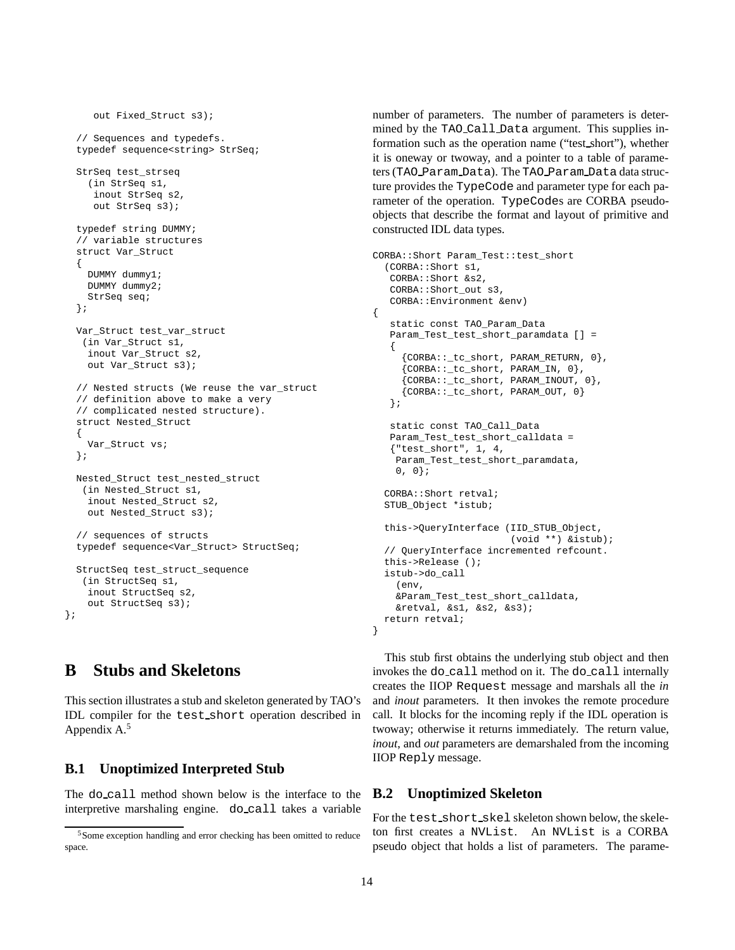```
out Fixed Struct s3);
  // Sequences and typedefs.
  typedef sequence<string> StrSeq;
  StrSeq test_strseq
    (in StrSeq s1,
     inout StrSeq s2,
    out StrSeq s3);
  typedef string DUMMY;
  // variable structures
  struct Var_Struct
  {
   DUMMY dummy1;
   DUMMY dummy2;
   StrSeq seq;
  };
  Var_Struct test_var_struct
   (in Var_Struct s1,
    inout Var_Struct s2,
   out Var Struct s3);
  // Nested structs (We reuse the var_struct
  // definition above to make a very
  // complicated nested structure).
  struct Nested_Struct
  {
   Var Struct vs;
  };
  Nested_Struct test_nested_struct
   (in Nested_Struct s1,
    inout Nested_Struct s2,
    out Nested_Struct s3);
  // sequences of structs
  typedef sequence<Var_Struct> StructSeq;
  StructSeq test_struct_sequence
   (in StructSeq s1,
    inout StructSeq s2,
    out StructSeq s3);
};
```
## **B Stubs and Skeletons**

This section illustrates a stub and skeleton generated by TAO's IDL compiler for the test short operation described in Appendix A.<sup>5</sup>

### **B.1 Unoptimized Interpreted Stub**

The do call method shown below is the interface to the interpretive marshaling engine. do call takes a variable

number of parameters. The number of parameters is determined by the TAO Call Data argument. This supplies information such as the operation name ("test short"), whether it is oneway or twoway, and a pointer to a table of parameters (TAO Param Data). The TAO Param Data data structure provides the TypeCode and parameter type for each parameter of the operation. TypeCodes are CORBA pseudoobjects that describe the format and layout of primitive and constructed IDL data types.

```
CORBA::Short Param_Test::test_short
  (CORBA::Short s1,
   CORBA::Short &s2,
   CORBA::Short_out s3,
   CORBA::Environment &env)
{
   static const TAO_Param_Data
   Param_Test_test_short_paramdata [] =
   {
     {CORBA::_tc_short, PARAM_RETURN, 0},
     {CORBA::_tc_short, PARAM_IN, 0},
     {C}ORBA:: tc short, PARAM INOUT, 0},
     {CORBA::_tc_short, PARAM_OUT, 0}
   };
   static const TAO_Call_Data
   Param_Test_test_short_calldata =
   {"test_short", 1, 4,
    Param_Test_test_short_paramdata,
    0, 0;CORBA::Short retval;
 STUB_Object *istub;
  this->QueryInterface (IID_STUB_Object,
                        (void **) &istub);
  // QueryInterface incremented refcount.
  this->Release ();
  istub->do_call
    (env,
    &Param_Test_test_short_calldata,
    &retval, &s1, &s2, &s3);
 return retval;
}
```
This stub first obtains the underlying stub object and then invokes the do call method on it. The do call internally creates the IIOP Request message and marshals all the *in* and *inout* parameters. It then invokes the remote procedure call. It blocks for the incoming reply if the IDL operation is twoway; otherwise it returns immediately. The return value, *inout*, and *out* parameters are demarshaled from the incoming IIOP Reply message.

### **B.2 Unoptimized Skeleton**

For the test short skel skeleton shown below, the skeleton first creates a NVList. An NVList is a CORBA pseudo object that holds a list of parameters. The parame-

<sup>5</sup>Some exception handling and error checking has been omitted to reduce space.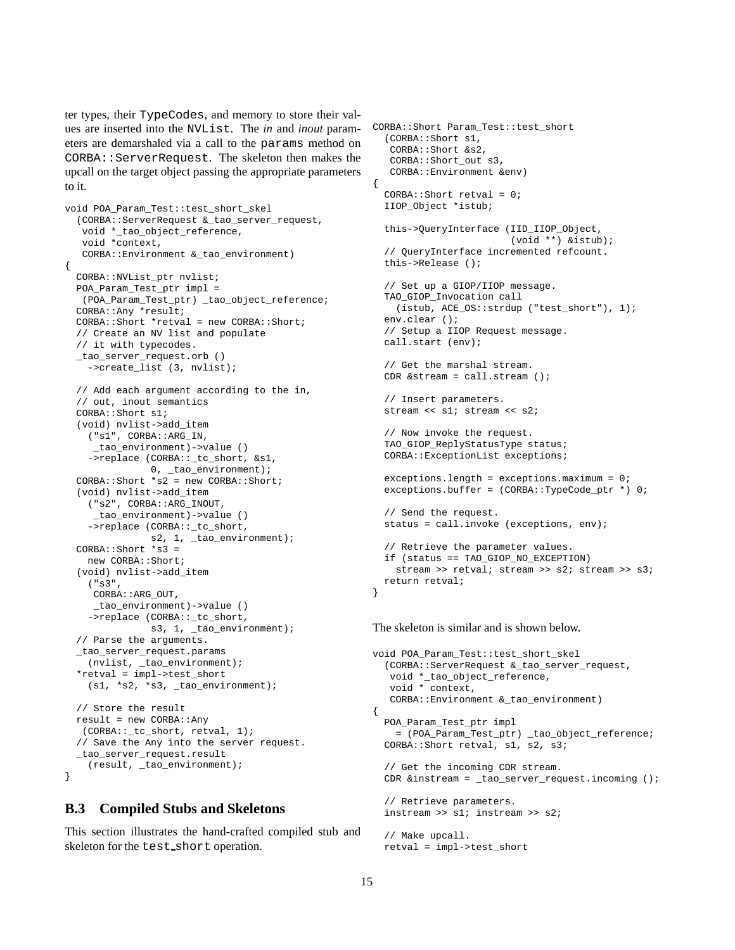ter types, their TypeCodes, and memory to store their values are inserted into the NVList. The *in* and *inout* parameters are demarshaled via a call to the params method on CORBA::ServerRequest. The skeleton then makes the upcall on the target object passing the appropriate parameters to it.

```
void POA_Param_Test::test_short_skel
  (CORBA::ServerRequest &_tao_server_request,
   void *_tao_object_reference,
   void *context,
   CORBA::Environment &_tao_environment)
{
 CORBA::NVList_ptr nvlist;
 POA_Param_Test_ptr impl =
  (POA_Param_Test_ptr) _tao_object_reference;
  CORBA::Any *result;
  CORBA::Short *retval = new CORBA::Short;
  // Create an NV list and populate
  // it with typecodes.
 _tao_server_request.orb ()
    ->create_list (3, nvlist);
  // Add each argument according to the in,
  // out, inout semantics
  CORBA::Short s1;
  (void) nvlist->add_item
    ("s1", CORBA::ARG_IN,
     _tao_environment)->value ()
    ->replace (CORBA::_tc_short, &s1,
             0, _tao_environment);
  CORBA::Short *s2 = new CORBA::Short;
  (void) nvlist->add_item
    ("s2", CORBA::ARG_INOUT,
    _tao_environment)->value ()
    ->replace (CORBA::_tc_short,
               s2, 1, _tao_environment);
  CORBA::Short *s3 =
   new CORBA::Short;
  (void) nvlist->add_item
    ("s3",
     CORBA::ARG_OUT,
     _tao_environment)->value ()
    ->replace (CORBA::_tc_short,
               s3, 1, _tao_environment);
  // Parse the arguments.
  _tao_server_request.params
   (nvlist, _tao_environment);
  *retval = impl->test_short
    (s1, *s2, *s3, _tao_environment);
  // Store the result
 result = new CORBA::Any
   (CORBA::_tc_short, retval, 1);
  // Save the Any into the server request.
 _tao_server_request.result
    (result, _tao_environment);
}
```
### **B.3 Compiled Stubs and Skeletons**

This section illustrates the hand-crafted compiled stub and skeleton for the test short operation.

```
CORBA::Short Param_Test::test_short
  (CORBA::Short s1,
   CORBA::Short &s2,
   CORBA::Short out s3,
   CORBA::Environment &env)
{
  CORBA::Short retval = 0;
  IIOP_Object *istub;
  this->QueryInterface (IID_IIOP_Object,
                        (void **) &istub);
  // QueryInterface incremented refcount.
  this->Release ();
  // Set up a GIOP/IIOP message.
 TAO_GIOP_Invocation call
   (istub, ACE_OS::strdup ("test_short"), 1);
 env.clear ();
 // Setup a IIOP Request message.
 call.start (env);
 // Get the marshal stream.
  CDR &stream = call.stream ();
  // Insert parameters.
  stream << s1; stream << s2;
  // Now invoke the request.
 TAO_GIOP_ReplyStatusType status;
 CORBA::ExceptionList exceptions;
 exceptions.length = exceptions.maximum = 0;
 exceptions.buffer = (CORBA::TypeCode_ptr *) 0;
  // Send the request.
 status = call.invoke (exceptions, env);
  // Retrieve the parameter values.
  if (status == TAO_GIOP_NO_EXCEPTION)
    stream >> retval; stream >> s2; stream >> s3;
  return retval;
}
```
The skeleton is similar and is shown below.

```
void POA_Param_Test::test_short_skel
  (CORBA::ServerRequest &_tao_server_request,
   void *_tao_object_reference,
   void * context,
   CORBA::Environment &_tao_environment)
{
 POA_Param_Test_ptr impl
   = (POA_Param_Test_ptr) _tao_object_reference;
 CORBA::Short retval, s1, s2, s3;
  // Get the incoming CDR stream.
 CDR &instream = _tao_server_request.incoming ();
  // Retrieve parameters.
  instream >> s1; instream >> s2;
  // Make upcall.
 retval = impl->test_short
```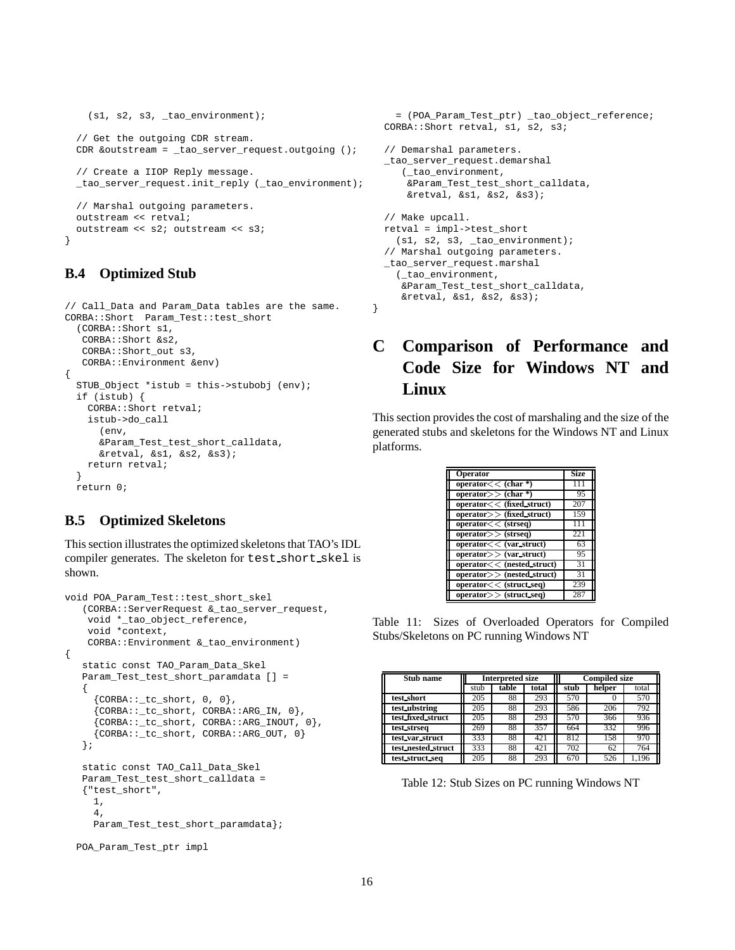```
(s1, s2, s3, _tao_environment);
// Get the outgoing CDR stream.
CDR &outstream = _tao_server_request.outgoing ();
// Create a IIOP Reply message.
_tao_server_request.init_reply (_tao_environment);
// Marshal outgoing parameters.
outstream << retval;
outstream << s2; outstream << s3;
```
## **B.4 Optimized Stub**

}

```
// Call_Data and Param_Data tables are the same.
CORBA::Short Param_Test::test_short
  (CORBA::Short s1,
  CORBA::Short &s2,
  CORBA::Short_out s3,
  CORBA::Environment &env)
{
  STUB_Object *istub = this->stubobj (env);
  if (istub) {
    CORBA::Short retval;
   istub->do_call
      (env,
      &Param_Test_test_short_calldata,
     &retval, &s1, &s2, &s3);
   return retval;
  }
 return 0;
```
## **B.5 Optimized Skeletons**

This section illustrates the optimized skeletons that TAO's IDL compiler generates. The skeleton for test short skel is shown.

```
void POA_Param_Test::test_short_skel
   (CORBA::ServerRequest &_tao_server_request,
    void *_tao_object_reference,
   void *context,
   CORBA::Environment &_tao_environment)
{
   static const TAO_Param_Data_Skel
   Param_Test_test_short_paramdata [] =
   {
     {CORBA::_tc\_short, 0, 0},{CORBA::_tc_short, CORBA::ARG_IN, 0},
     {CORBA::_tc_short, CORBA::ARG_INOUT, 0},
     {CORBA::_tc_short, CORBA::ARG_OUT, 0}
   };
   static const TAO_Call_Data_Skel
   Param_Test_test_short_calldata =
   {"test_short",
    1,
     4,
    Param_Test_test_short_paramdata};
  POA_Param_Test_ptr impl
```

```
= (POA_Param_Test_ptr) _tao_object_reference;
  CORBA::Short retval, s1, s2, s3;
  // Demarshal parameters.
 _tao_server_request.demarshal
     (_tao_environment,
      &Param_Test_test_short_calldata,
      &retval, &s1, &s2, &s3);
  // Make upcall.
 retval = impl->test_short
    (s1, s2, s3, \text{ tao\_environment});// Marshal outgoing parameters.
 _tao_server_request.marshal
    (_tao_environment,
     &Param_Test_test_short_calldata,
     &retval, &s1, &s2, &s3);
}
```
# **C Comparison of Performance and Code Size for Windows NT and Linux**

This section provides the cost of marshaling and the size of the generated stubs and skeletons for the Windows NT and Linux platforms.

| <b>Operator</b>             | <b>Size</b> |
|-----------------------------|-------------|
| operator $<<$ (char *)      |             |
| operator $\gt$ (char *)     | 95          |
| operator << (fixed_struct)  | 207         |
| $operator>>$ (fixed_struct) | 159         |
| operator < (stress)         |             |
| $operator>>$ (strseq)       | 221         |
| operator < (var struct)     | 63          |
| operator>> (var struct)     | 95          |
| operator << (nested_struct) | 31          |
| operator > (nested struct)  | 31          |
| operator < (struct seq)     | 239         |
| $operator>>$ (struct_seq)   | 287         |

Table 11: Sizes of Overloaded Operators for Compiled Stubs/Skeletons on PC running Windows NT

| Stub name          | <b>Interpreted size</b> |                |     |     | <b>Compiled size</b> |       |
|--------------------|-------------------------|----------------|-----|-----|----------------------|-------|
|                    | stub                    | total<br>table |     |     | helper               | total |
| test_short         | 205                     | 88             | 293 | 570 |                      | 570   |
| test_ubstring      | 205                     | 88             | 293 | 586 | 206                  | 792   |
| test fixed struct  | 205                     | 88             | 293 | 570 | 366                  | 936   |
| test strseq        | 269                     | 88             | 357 | 664 | 332                  | 996   |
| test var struct    | 333                     | 88             | 421 | 812 | 158                  | 970   |
| test_nested_struct | 333                     | 88             | 421 | 702 | 62                   | 764   |
| test struct seq    | 205                     | 88             | 293 | 670 | 526                  | 1.196 |

Table 12: Stub Sizes on PC running Windows NT